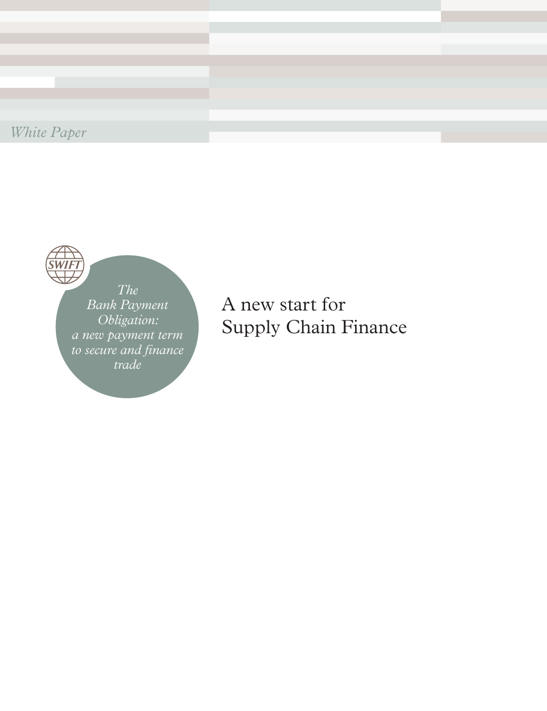*White Paper*



*The Bank Payment Obligation: a new payment term to secure and finance trade*

A new start for Supply Chain Finance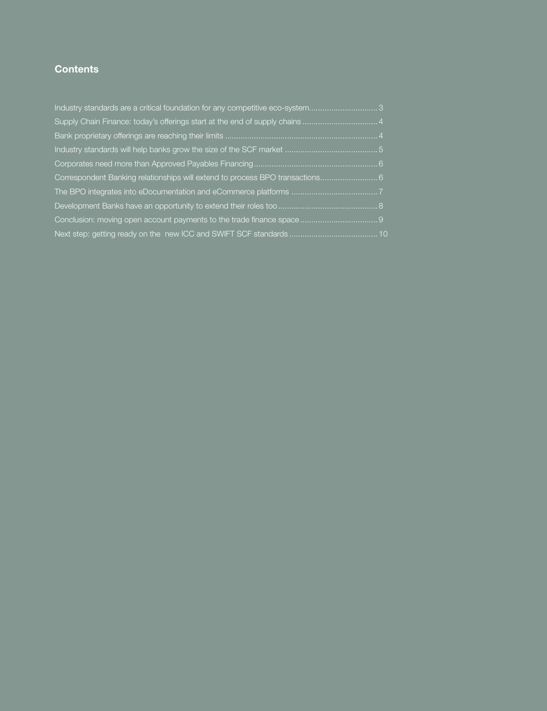# **Contents**

| Industry standards are a critical foundation for any competitive eco-system3 |  |
|------------------------------------------------------------------------------|--|
|                                                                              |  |
|                                                                              |  |
|                                                                              |  |
|                                                                              |  |
| Correspondent Banking relationships will extend to process BPO transactions6 |  |
|                                                                              |  |
|                                                                              |  |
|                                                                              |  |
|                                                                              |  |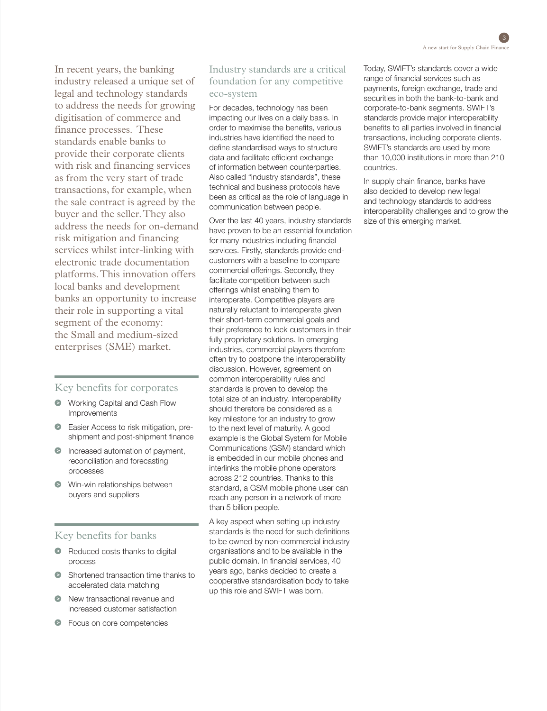In recent years, the banking industry released a unique set of legal and technology standards to address the needs for growing digitisation of commerce and finance processes. These standards enable banks to provide their corporate clients with risk and financing services as from the very start of trade transactions, for example, when the sale contract is agreed by the buyer and the seller. They also address the needs for on-demand risk mitigation and financing services whilst inter-linking with electronic trade documentation platforms. This innovation offers local banks and development banks an opportunity to increase their role in supporting a vital segment of the economy: the Small and medium-sized enterprises (SME) market.

## Key benefits for corporates

- **•** Working Capital and Cash Flow Improvements
- Easier Access to risk mitigation, preshipment and post-shipment finance
- **Increased automation of payment,** reconciliation and forecasting processes
- **Win-win relationships between** buyers and suppliers

## Key benefits for banks

- Reduced costs thanks to digital process
- Shortened transaction time thanks to accelerated data matching
- $\bullet$  New transactional revenue and increased customer satisfaction
- **•** Focus on core competencies

## Industry standards are a critical foundation for any competitive eco-system

For decades, technology has been impacting our lives on a daily basis. In order to maximise the benefits, various industries have identified the need to define standardised ways to structure data and facilitate efficient exchange of information between counterparties. Also called "industry standards", these technical and business protocols have been as critical as the role of language in communication between people.

Over the last 40 years, industry standards have proven to be an essential foundation for many industries including financial services. Firstly, standards provide endcustomers with a baseline to compare commercial offerings. Secondly, they facilitate competition between such offerings whilst enabling them to interoperate. Competitive players are naturally reluctant to interoperate given their short-term commercial goals and their preference to lock customers in their fully proprietary solutions. In emerging industries, commercial players therefore often try to postpone the interoperability discussion. However, agreement on common interoperability rules and standards is proven to develop the total size of an industry. Interoperability should therefore be considered as a key milestone for an industry to grow to the next level of maturity. A good example is the Global System for Mobile Communications (GSM) standard which is embedded in our mobile phones and interlinks the mobile phone operators across 212 countries. Thanks to this standard, a GSM mobile phone user can reach any person in a network of more than 5 billion people.

A key aspect when setting up industry standards is the need for such definitions to be owned by non-commercial industry organisations and to be available in the public domain. In financial services, 40 years ago, banks decided to create a cooperative standardisation body to take up this role and SWIFT was born.

Today, SWIFT's standards cover a wide range of financial services such as payments, foreign exchange, trade and securities in both the bank-to-bank and corporate-to-bank segments. SWIFT's standards provide major interoperability benefits to all parties involved in financial transactions, including corporate clients. SWIFT's standards are used by more than 10,000 institutions in more than 210 countries.

In supply chain finance, banks have also decided to develop new legal and technology standards to address interoperability challenges and to grow the size of this emerging market.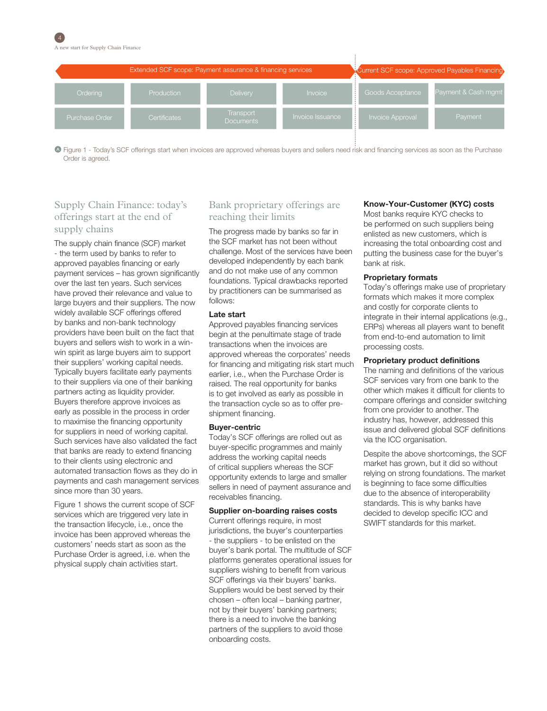

Figure 1 - Today's SCF offerings start when invoices are approved whereas buyers and sellers need risk and financing services as soon as the Purchase Order is agreed.

## Supply Chain Finance: today's offerings start at the end of supply chains

The supply chain finance (SCF) market - the term used by banks to refer to approved payables financing or early payment services – has grown significantly over the last ten years. Such services have proved their relevance and value to large buyers and their suppliers. The now widely available SCF offerings offered by banks and non-bank technology providers have been built on the fact that buyers and sellers wish to work in a winwin spirit as large buyers aim to support their suppliers' working capital needs. Typically buyers facilitate early payments to their suppliers via one of their banking partners acting as liquidity provider. Buyers therefore approve invoices as early as possible in the process in order to maximise the financing opportunity for suppliers in need of working capital. Such services have also validated the fact that banks are ready to extend financing to their clients using electronic and automated transaction flows as they do in payments and cash management services since more than 30 years.

Figure 1 shows the current scope of SCF services which are triggered very late in the transaction lifecycle, i.e., once the invoice has been approved whereas the customers' needs start as soon as the Purchase Order is agreed, i.e. when the physical supply chain activities start.

# Bank proprietary offerings are reaching their limits

The progress made by banks so far in the SCF market has not been without challenge. Most of the services have been developed independently by each bank and do not make use of any common foundations. Typical drawbacks reported by practitioners can be summarised as follows:

### Late start

Approved payables financing services begin at the penultimate stage of trade transactions when the invoices are approved whereas the corporates' needs for financing and mitigating risk start much earlier, i.e., when the Purchase Order is raised. The real opportunity for banks is to get involved as early as possible in the transaction cycle so as to offer preshipment financing.

### Buyer-centric

Today's SCF offerings are rolled out as buyer-specific programmes and mainly address the working capital needs of critical suppliers whereas the SCF opportunity extends to large and smaller sellers in need of payment assurance and receivables financing.

### Supplier on-boarding raises costs

Current offerings require, in most jurisdictions, the buyer's counterparties - the suppliers - to be enlisted on the buyer's bank portal. The multitude of SCF platforms generates operational issues for suppliers wishing to benefit from various SCF offerings via their buyers' banks. Suppliers would be best served by their chosen – often local – banking partner, not by their buyers' banking partners; there is a need to involve the banking partners of the suppliers to avoid those onboarding costs.

### Know-Your-Customer (KYC) costs

Most banks require KYC checks to be performed on such suppliers being enlisted as new customers, which is increasing the total onboarding cost and putting the business case for the buyer's bank at risk.

### Proprietary formats

Today's offerings make use of proprietary formats which makes it more complex and costly for corporate clients to integrate in their internal applications (e.g., ERPs) whereas all players want to benefit from end-to-end automation to limit processing costs.

### Proprietary product definitions

The naming and definitions of the various SCF services vary from one bank to the other which makes it difficult for clients to compare offerings and consider switching from one provider to another. The industry has, however, addressed this issue and delivered global SCF definitions via the ICC organisation.

Despite the above shortcomings, the SCF market has grown, but it did so without relying on strong foundations. The market is beginning to face some difficulties due to the absence of interoperability standards. This is why banks have decided to develop specific ICC and SWIFT standards for this market.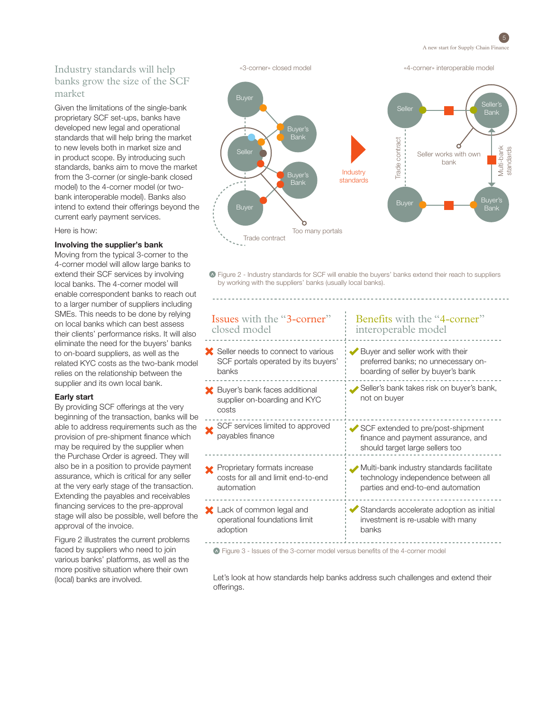

# Industry standards will help banks grow the size of the SCF market

Given the limitations of the single-bank proprietary SCF set-ups, banks have developed new legal and operational standards that will help bring the market to new levels both in market size and in product scope. By introducing such standards, banks aim to move the market from the 3-corner (or single-bank closed model) to the 4-corner model (or twobank interoperable model). Banks also intend to extend their offerings beyond the current early payment services.

Here is how:

### Involving the supplier's bank

Moving from the typical 3-corner to the 4-corner model will allow large banks to extend their SCF services by involving local banks. The 4-corner model will enable correspondent banks to reach out to a larger number of suppliers including SMEs. This needs to be done by relying on local banks which can best assess their clients' performance risks. It will also eliminate the need for the buyers' banks to on-board suppliers, as well as the related KYC costs as the two-bank model relies on the relationship between the supplier and its own local bank.

### Early start

By providing SCF offerings at the very beginning of the transaction, banks will be able to address requirements such as the provision of pre-shipment finance which may be required by the supplier when the Purchase Order is agreed. They will also be in a position to provide payment assurance, which is critical for any seller at the very early stage of the transaction. Extending the payables and receivables financing services to the pre-approval stage will also be possible, well before the approval of the invoice.

Figure 2 illustrates the current problems faced by suppliers who need to join various banks' platforms, as well as the more positive situation where their own (local) banks are involved.



 $\bullet$  Figure 2 - Industry standards for SCF will enable the buyers' banks extend their reach to suppliers by working with the suppliers' banks (usually local banks).

#### Buyer and seller work with their preferred banks; no unnecessary onboarding of seller by buyer's bank Seller needs to connect to various SCF portals operated by its buyers' banks Issues with the "3-corner" closed model Benefits with the "4-corner" interoperable model Seller's bank takes risk on buyer's bank, not on buyer **X** Buyer's bank faces additional supplier on-boarding and KYC costs SCF extended to pre/post-shipment finance and payment assurance, and should target large sellers too SCF services limited to approved payables finance Multi-bank industry standards facilitate technology independence between all parties and end-to-end automation **Proprietary formats increase** costs for all and limit end-to-end automation Standards accelerate adoption as initial investment is re-usable with many banks **X** Lack of common legal and operational foundations limit adoption

Figure 3 - Issues of the 3-corner model versus benefits of the 4-corner model

Let's look at how standards help banks address such challenges and extend their offerings.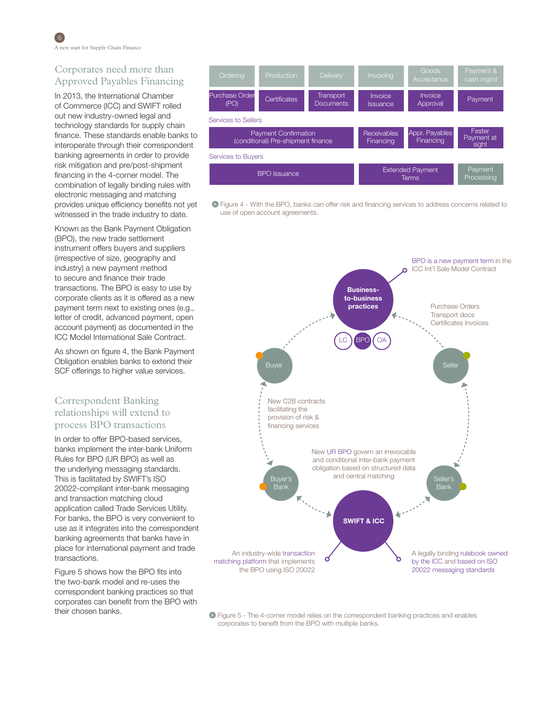# Corporates need more than Approved Payables Financing

In 2013, the International Chamber of Commerce (ICC) and SWIFT rolled out new industry-owned legal and technology standards for supply chain finance. These standards enable banks to interoperate through their correspondent banking agreements in order to provide risk mitigation and pre/post-shipment financing in the 4-corner model. The combination of legally binding rules with electronic messaging and matching provides unique efficiency benefits not yet witnessed in the trade industry to date.

Known as the Bank Payment Obligation (BPO), the new trade settlement instrument offers buyers and suppliers (irrespective of size, geography and industry) a new payment method to secure and finance their trade transactions. The BPO is easy to use by corporate clients as it is offered as a new payment term next to existing ones (e.g., letter of credit, advanced payment, open account payment) as documented in the ICC Model International Sale Contract.

As shown on figure 4, the Bank Payment Obligation enables banks to extend their SCF offerings to higher value services.

# Correspondent Banking relationships will extend to process BPO transactions

In order to offer BPO-based services, banks implement the inter-bank Uniform Rules for BPO (UR BPO) as well as the underlying messaging standards. This is facilitated by SWIFT's ISO 20022-compliant inter-bank messaging and transaction matching cloud application called Trade Services Utility. For banks, the BPO is very convenient to use as it integrates into the correspondent banking agreements that banks have in place for international payment and trade transactions.

Figure 5 shows how the BPO fits into the two-bank model and re-uses the correspondent banking practices so that corporates can benefit from the BPO with their chosen banks.



Figure 4 - With the BPO, banks can offer risk and financing services to address concerns related to use of open account agreements.



Figure 5 - The 4-corner model relies on the correspondent banking practices and enables corporates to benefit from the BPO with multiple banks.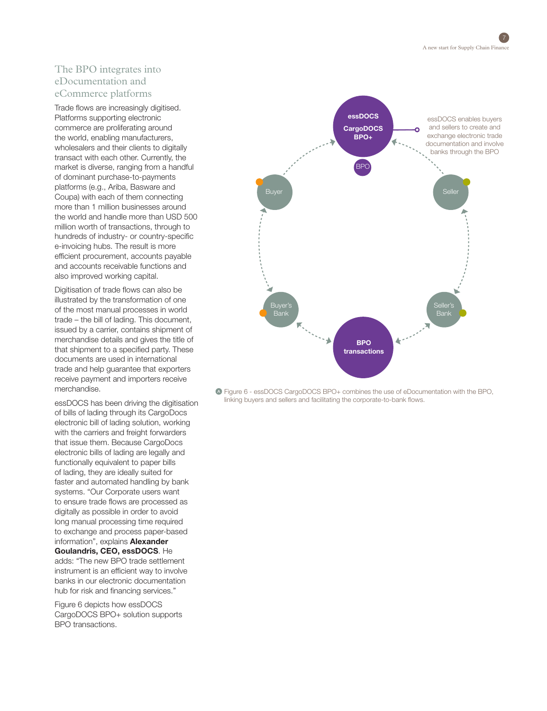# The BPO integrates into eDocumentation and eCommerce platforms

Trade flows are increasingly digitised. Platforms supporting electronic commerce are proliferating around the world, enabling manufacturers, wholesalers and their clients to digitally transact with each other. Currently, the market is diverse, ranging from a handful of dominant purchase-to-payments platforms (e.g., Ariba, Basware and Coupa) with each of them connecting more than 1 million businesses around the world and handle more than USD 500 million worth of transactions, through to hundreds of industry- or country-specific e-invoicing hubs. The result is more efficient procurement, accounts payable and accounts receivable functions and also improved working capital.

Digitisation of trade flows can also be illustrated by the transformation of one of the most manual processes in world trade – the bill of lading. This document, issued by a carrier, contains shipment of merchandise details and gives the title of that shipment to a specified party. These documents are used in international trade and help guarantee that exporters receive payment and importers receive merchandise.

essDOCS has been driving the digitisation of bills of lading through its CargoDocs electronic bill of lading solution, working with the carriers and freight forwarders that issue them. Because CargoDocs electronic bills of lading are legally and functionally equivalent to paper bills of lading, they are ideally suited for faster and automated handling by bank systems. "Our Corporate users want to ensure trade flows are processed as digitally as possible in order to avoid long manual processing time required to exchange and process paper-based information", explains **Alexander** Goulandris, CEO, essDOCS. He adds: "The new BPO trade settlement instrument is an efficient way to involve banks in our electronic documentation hub for risk and financing services."

Figure 6 depicts how essDOCS CargoDOCS BPO+ solution supports BPO transactions.



Figure 6 - essDOCS CargoDOCS BPO+ combines the use of eDocumentation with the BPO, linking buyers and sellers and facilitating the corporate-to-bank flows.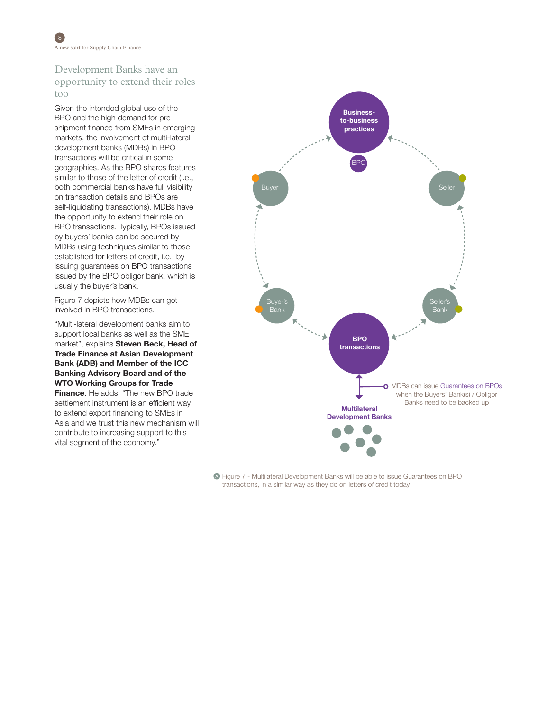# Development Banks have an opportunity to extend their roles too

Given the intended global use of the BPO and the high demand for preshipment finance from SMEs in emerging markets, the involvement of multi-lateral development banks (MDBs) in BPO transactions will be critical in some geographies. As the BPO shares features similar to those of the letter of credit (i.e., both commercial banks have full visibility on transaction details and BPOs are self-liquidating transactions), MDBs have the opportunity to extend their role on BPO transactions. Typically, BPOs issued by buyers' banks can be secured by MDBs using techniques similar to those established for letters of credit, i.e., by issuing guarantees on BPO transactions issued by the BPO obligor bank, which is usually the buyer's bank.

Figure 7 depicts how MDBs can get involved in BPO transactions.

"Multi-lateral development banks aim to support local banks as well as the SME market", explains Steven Beck, Head of Trade Finance at Asian Development Bank (ADB) and Member of the ICC Banking Advisory Board and of the WTO Working Groups for Trade

**Finance.** He adds: "The new BPO trade settlement instrument is an efficient way to extend export financing to SMEs in Asia and we trust this new mechanism will contribute to increasing support to this vital segment of the economy."



Figure 7 - Multilateral Development Banks will be able to issue Guarantees on BPO transactions, in a similar way as they do on letters of credit today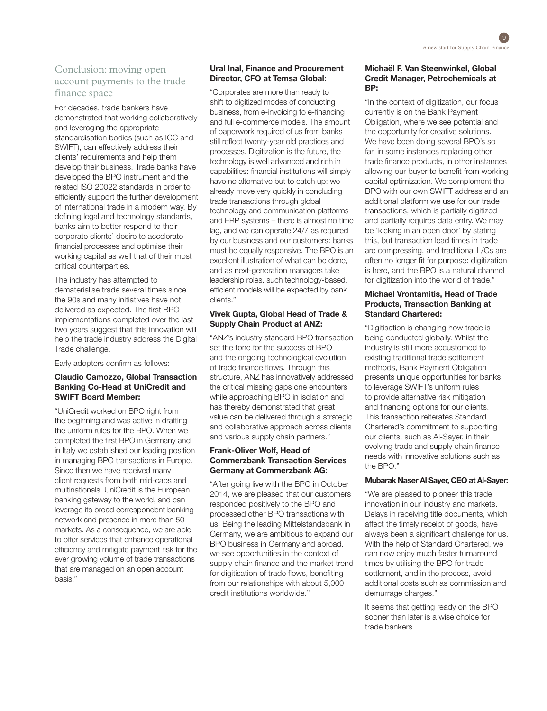# Conclusion: moving open account payments to the trade finance space

For decades, trade bankers have demonstrated that working collaboratively and leveraging the appropriate standardisation bodies (such as ICC and SWIFT), can effectively address their clients' requirements and help them develop their business. Trade banks have developed the BPO instrument and the related ISO 20022 standards in order to efficiently support the further development of international trade in a modern way. By defining legal and technology standards, banks aim to better respond to their corporate clients' desire to accelerate financial processes and optimise their working capital as well that of their most critical counterparties.

The industry has attempted to dematerialise trade several times since the 90s and many initiatives have not delivered as expected. The first BPO implementations completed over the last two years suggest that this innovation will help the trade industry address the Digital Trade challenge.

Early adopters confirm as follows:

### Claudio Camozzo, Global Transaction Banking Co-Head at UniCredit and SWIFT Board Member:

"UniCredit worked on BPO right from the beginning and was active in drafting the uniform rules for the BPO. When we completed the first BPO in Germany and in Italy we established our leading position in managing BPO transactions in Europe. Since then we have received many client requests from both mid-caps and multinationals. UniCredit is the European banking gateway to the world, and can leverage its broad correspondent banking network and presence in more than 50 markets. As a consequence, we are able to offer services that enhance operational efficiency and mitigate payment risk for the ever growing volume of trade transactions that are managed on an open account basis."

## Ural Inal, Finance and Procurement Director, CFO at Temsa Global:

"Corporates are more than ready to shift to digitized modes of conducting business, from e-invoicing to e-financing and full e-commerce models. The amount of paperwork required of us from banks still reflect twenty-year old practices and processes. Digitization is the future, the technology is well advanced and rich in capabilities: financial institutions will simply have no alternative but to catch up: we already move very quickly in concluding trade transactions through global technology and communication platforms and ERP systems – there is almost no time lag, and we can operate 24/7 as required by our business and our customers: banks must be equally responsive. The BPO is an excellent illustration of what can be done, and as next-generation managers take leadership roles, such technology-based, efficient models will be expected by bank clients."

## Vivek Gupta, Global Head of Trade & Supply Chain Product at ANZ:

"ANZ's industry standard BPO transaction set the tone for the success of BPO and the ongoing technological evolution of trade finance flows. Through this structure, ANZ has innovatively addressed the critical missing gaps one encounters while approaching BPO in isolation and has thereby demonstrated that great value can be delivered through a strategic and collaborative approach across clients and various supply chain partners."

### Frank-Oliver Wolf, Head of Commerzbank Transaction Services Germany at Commerzbank AG:

"After going live with the BPO in October 2014, we are pleased that our customers responded positively to the BPO and processed other BPO transactions with us. Being the leading Mittelstandsbank in Germany, we are ambitious to expand our BPO business in Germany and abroad, we see opportunities in the context of supply chain finance and the market trend for digitisation of trade flows, benefiting from our relationships with about 5,000 credit institutions worldwide."

## Michaël F. Van Steenwinkel, Global Credit Manager, Petrochemicals at BP:

"In the context of digitization, our focus currently is on the Bank Payment Obligation, where we see potential and the opportunity for creative solutions. We have been doing several BPO's so far, in some instances replacing other trade finance products, in other instances allowing our buyer to benefit from working capital optimization. We complement the BPO with our own SWIFT address and an additional platform we use for our trade transactions, which is partially digitized and partially requires data entry. We may be 'kicking in an open door' by stating this, but transaction lead times in trade are compressing, and traditional L/Cs are often no longer fit for purpose: digitization is here, and the BPO is a natural channel for digitization into the world of trade."

## Michael Vrontamitis, Head of Trade Products, Transaction Banking at Standard Chartered:

"Digitisation is changing how trade is being conducted globally. Whilst the industry is still more accustomed to existing traditional trade settlement methods, Bank Payment Obligation presents unique opportunities for banks to leverage SWIFT's uniform rules to provide alternative risk mitigation and financing options for our clients. This transaction reiterates Standard Chartered's commitment to supporting our clients, such as Al-Sayer, in their evolving trade and supply chain finance needs with innovative solutions such as the BPO."

## Mubarak Naser Al Sayer, CEO at Al-Sayer:

"We are pleased to pioneer this trade innovation in our industry and markets. Delays in receiving title documents, which affect the timely receipt of goods, have always been a significant challenge for us. With the help of Standard Chartered, we can now enjoy much faster turnaround times by utilising the BPO for trade settlement, and in the process, avoid additional costs such as commission and demurrage charges."

It seems that getting ready on the BPO sooner than later is a wise choice for trade bankers.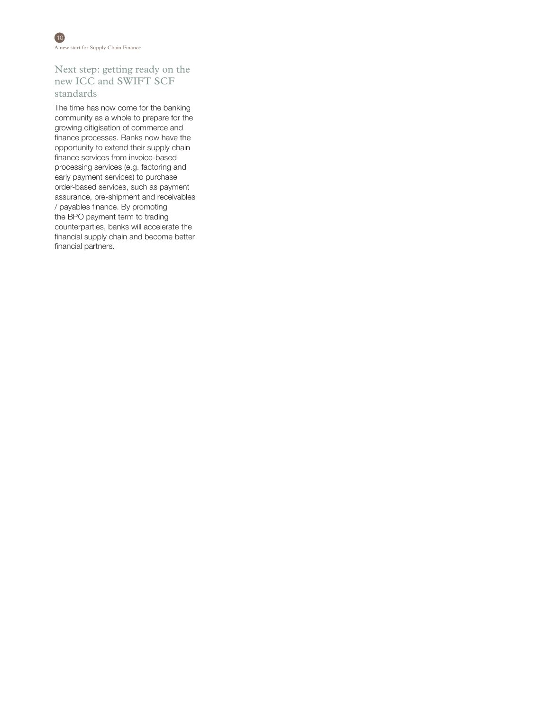10 A new start for Supply Chain Finance

# Next step: getting ready on the new ICC and SWIFT SCF standards

The time has now come for the banking community as a whole to prepare for the growing ditigisation of commerce and finance processes. Banks now have the opportunity to extend their supply chain finance services from invoice-based processing services (e.g. factoring and early payment services) to purchase order-based services, such as payment assurance, pre-shipment and receivables / payables finance. By promoting the BPO payment term to trading counterparties, banks will accelerate the financial supply chain and become better financial partners.